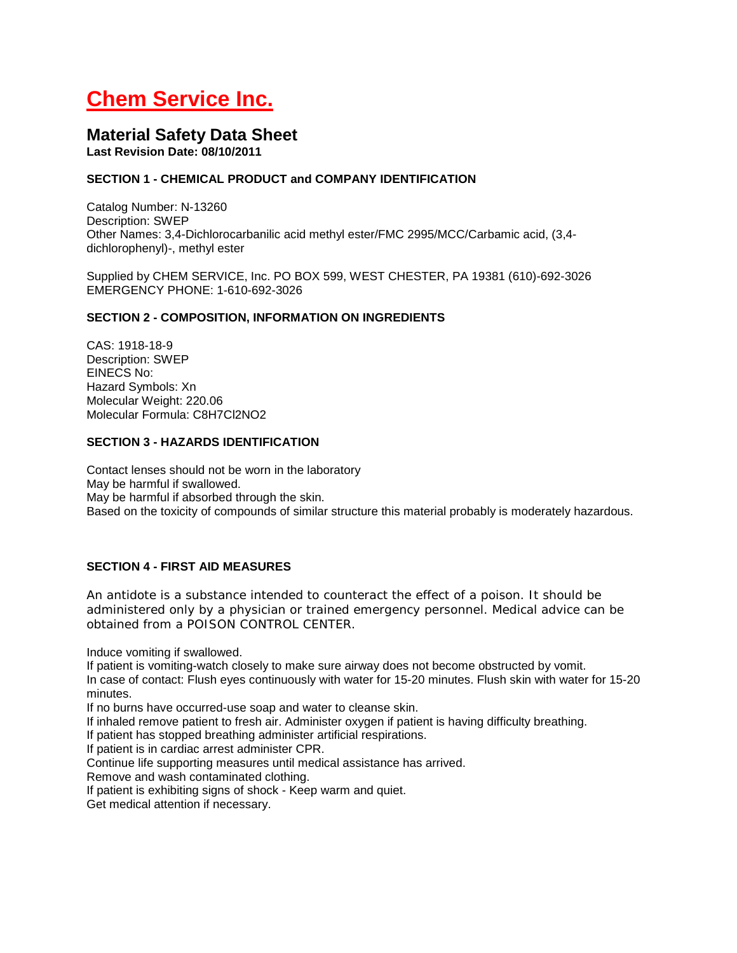# **Chem Service Inc.**

## **Material Safety Data Sheet**

**Last Revision Date: 08/10/2011**

## **SECTION 1 - CHEMICAL PRODUCT and COMPANY IDENTIFICATION**

Catalog Number: N-13260 Description: SWEP Other Names: 3,4-Dichlorocarbanilic acid methyl ester/FMC 2995/MCC/Carbamic acid, (3,4 dichlorophenyl)-, methyl ester

Supplied by CHEM SERVICE, Inc. PO BOX 599, WEST CHESTER, PA 19381 (610)-692-3026 EMERGENCY PHONE: 1-610-692-3026

### **SECTION 2 - COMPOSITION, INFORMATION ON INGREDIENTS**

CAS: 1918-18-9 Description: SWEP EINECS No: Hazard Symbols: Xn Molecular Weight: 220.06 Molecular Formula: C8H7Cl2NO2

#### **SECTION 3 - HAZARDS IDENTIFICATION**

Contact lenses should not be worn in the laboratory May be harmful if swallowed. May be harmful if absorbed through the skin. Based on the toxicity of compounds of similar structure this material probably is moderately hazardous.

## **SECTION 4 - FIRST AID MEASURES**

An antidote is a substance intended to counteract the effect of a poison. It should be administered only by a physician or trained emergency personnel. Medical advice can be obtained from a POISON CONTROL CENTER.

Induce vomiting if swallowed.

If patient is vomiting-watch closely to make sure airway does not become obstructed by vomit. In case of contact: Flush eyes continuously with water for 15-20 minutes. Flush skin with water for 15-20 minutes.

If no burns have occurred-use soap and water to cleanse skin.

If inhaled remove patient to fresh air. Administer oxygen if patient is having difficulty breathing.

If patient has stopped breathing administer artificial respirations.

If patient is in cardiac arrest administer CPR.

Continue life supporting measures until medical assistance has arrived.

Remove and wash contaminated clothing.

If patient is exhibiting signs of shock - Keep warm and quiet.

Get medical attention if necessary.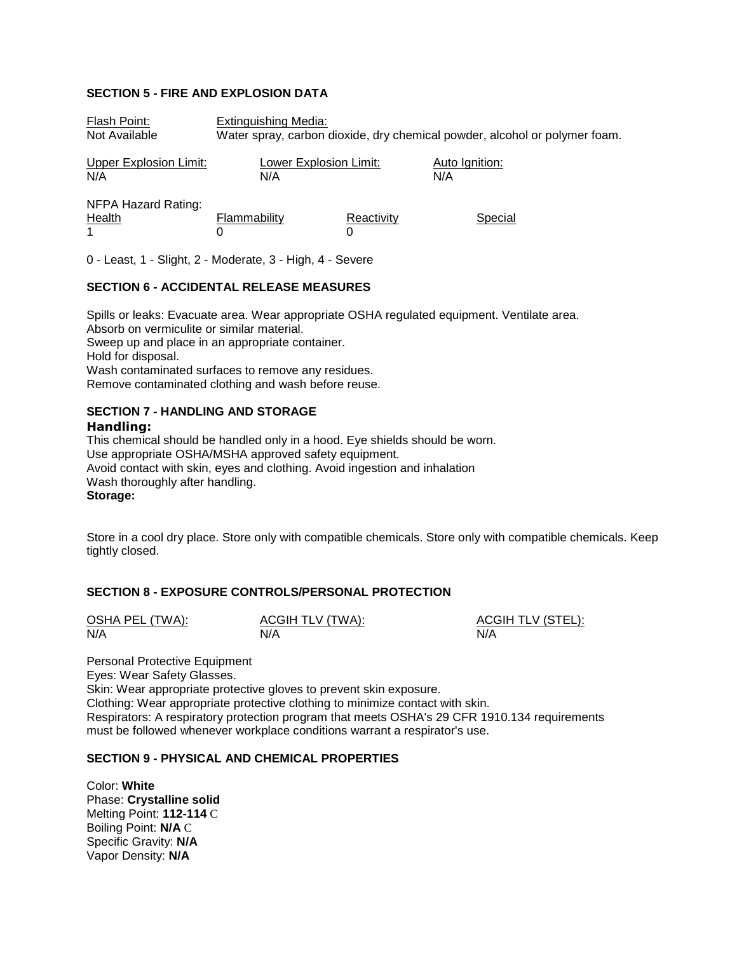#### **SECTION 5 - FIRE AND EXPLOSION DATA**

| Flash Point:                         | <b>Extinguishing Media:</b>                                                |            |                       |  |  |
|--------------------------------------|----------------------------------------------------------------------------|------------|-----------------------|--|--|
| Not Available                        | Water spray, carbon dioxide, dry chemical powder, alcohol or polymer foam. |            |                       |  |  |
| <b>Upper Explosion Limit:</b><br>N/A | Lower Explosion Limit:<br>N/A                                              |            | Auto Ignition:<br>N/A |  |  |
| NFPA Hazard Rating:<br>Health<br>1   | Flammability                                                               | Reactivity | Special               |  |  |

0 - Least, 1 - Slight, 2 - Moderate, 3 - High, 4 - Severe

#### **SECTION 6 - ACCIDENTAL RELEASE MEASURES**

Spills or leaks: Evacuate area. Wear appropriate OSHA regulated equipment. Ventilate area. Absorb on vermiculite or similar material. Sweep up and place in an appropriate container. Hold for disposal. Wash contaminated surfaces to remove any residues. Remove contaminated clothing and wash before reuse.

## **SECTION 7 - HANDLING AND STORAGE**

#### **Handling:**

This chemical should be handled only in a hood. Eye shields should be worn. Use appropriate OSHA/MSHA approved safety equipment. Avoid contact with skin, eyes and clothing. Avoid ingestion and inhalation Wash thoroughly after handling. **Storage:**

Store in a cool dry place. Store only with compatible chemicals. Store only with compatible chemicals. Keep tightly closed.

#### **SECTION 8 - EXPOSURE CONTROLS/PERSONAL PROTECTION**

| OSHA PEL (TWA): | ACGIH TLV (TWA): | <b>ACGIH TLV (STEL):</b> |
|-----------------|------------------|--------------------------|
| N/A             | N/A              | N/A                      |

Personal Protective Equipment Eyes: Wear Safety Glasses. Skin: Wear appropriate protective gloves to prevent skin exposure. Clothing: Wear appropriate protective clothing to minimize contact with skin. Respirators: A respiratory protection program that meets OSHA's 29 CFR 1910.134 requirements must be followed whenever workplace conditions warrant a respirator's use.

## **SECTION 9 - PHYSICAL AND CHEMICAL PROPERTIES**

Color: **White** Phase: **Crystalline solid** Melting Point: **112-114** C Boiling Point: **N/A** C Specific Gravity: **N/A** Vapor Density: **N/A**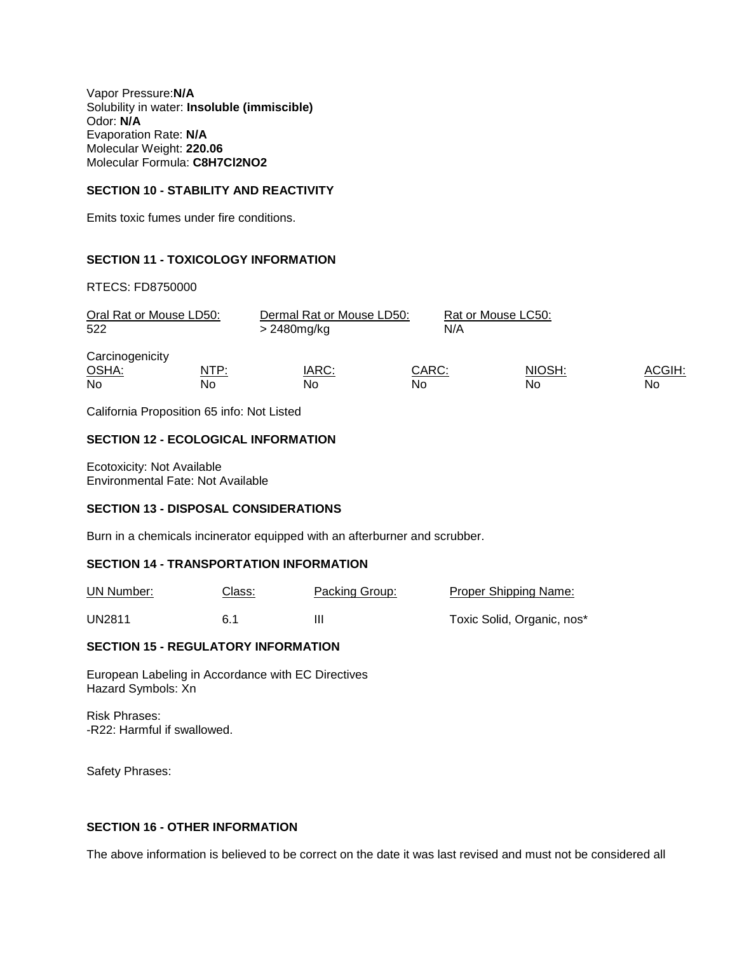Vapor Pressure:**N/A** Solubility in water: **Insoluble (immiscible)** Odor: **N/A** Evaporation Rate: **N/A** Molecular Weight: **220.06** Molecular Formula: **C8H7Cl2NO2**

#### **SECTION 10 - STABILITY AND REACTIVITY**

Emits toxic fumes under fire conditions.

#### **SECTION 11 - TOXICOLOGY INFORMATION**

RTECS: FD8750000

| Oral Rat or Mouse LD50:<br>522        |                   | Dermal Rat or Mouse LD50:<br>> 2480mg/kg | N/A         | Rat or Mouse LC50: |              |
|---------------------------------------|-------------------|------------------------------------------|-------------|--------------------|--------------|
| Carcinogenicity<br>OSHA:<br><b>No</b> | <u>NTP:</u><br>No | <u>IARC:</u><br>No.                      | CARC:<br>No | NIOSH:<br>No       | ACGIH:<br>No |

California Proposition 65 info: Not Listed

#### **SECTION 12 - ECOLOGICAL INFORMATION**

Ecotoxicity: Not Available Environmental Fate: Not Available

#### **SECTION 13 - DISPOSAL CONSIDERATIONS**

Burn in a chemicals incinerator equipped with an afterburner and scrubber.

#### **SECTION 14 - TRANSPORTATION INFORMATION**

| UN Number: | <u>Class:</u> | <b>Packing Group:</b> | <b>Proper Shipping Name:</b> |
|------------|---------------|-----------------------|------------------------------|
| UN2811     | 6.1           | Ш                     | Toxic Solid, Organic, nos*   |

#### **SECTION 15 - REGULATORY INFORMATION**

European Labeling in Accordance with EC Directives Hazard Symbols: Xn

Risk Phrases: -R22: Harmful if swallowed.

Safety Phrases:

#### **SECTION 16 - OTHER INFORMATION**

The above information is believed to be correct on the date it was last revised and must not be considered all